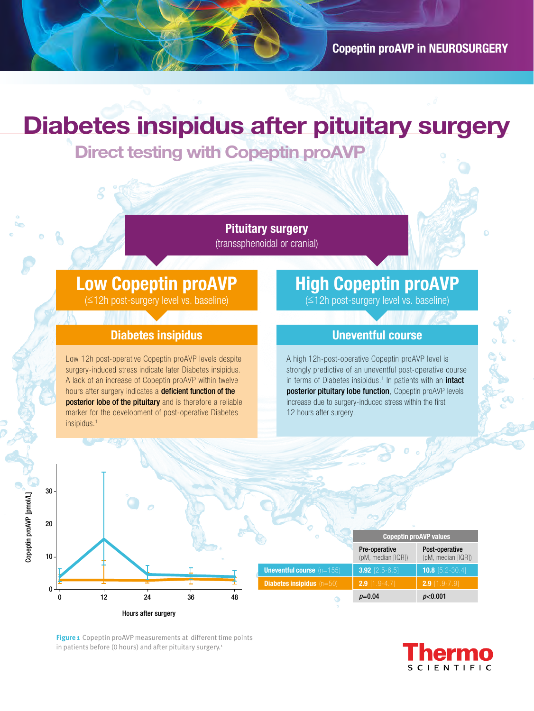# **Diabetes insipidus after pituitary surgery**

**Direct testing with Copeptin proAVP**

**Pituitary surgery**  (transsphenoidal or cranial)

### **Low Copeptin proAVP**

(≤12h post-surgery level vs. baseline)

#### **Diabetes insipidus**

Low 12h post-operative Copeptin proAVP levels despite surgery-induced stress indicate later Diabetes insipidus. A lack of an increase of Copeptin proAVP within twelve hours after surgery indicates a **deficient function of the** posterior lobe of the pituitary and is therefore a reliable marker for the development of post-operative Diabetes insipidus.<sup>1</sup>

## **High Copeptin proAVP**

(≤12h post-surgery level vs. baseline)

#### **Uneventful course**

A high 12h-post-operative Copeptin proAVP level is strongly predictive of an uneventful post-operative course in terms of Diabetes insipidus.<sup>1</sup> In patients with an *intact* posterior pituitary lobe function, Copeptin proAVP levels increase due to surgery-induced stress within the first 12 hours after surgery.



**Figure 1** Copeptin proAVP measurements at different time points in patients before (0 hours) and after pituitary surgery.<sup>1</sup>